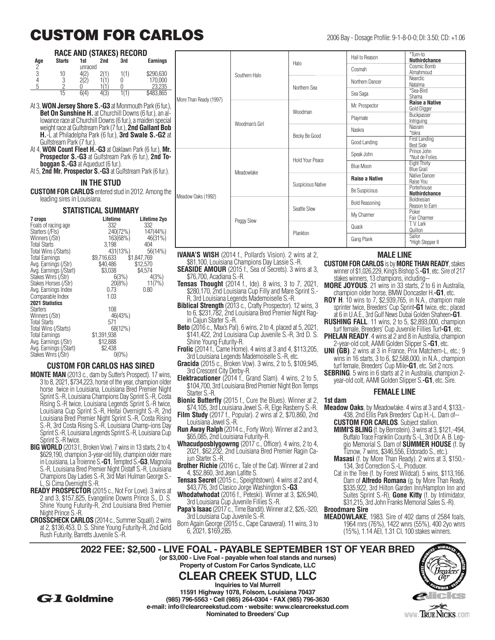# **CUSTOM FOR CARLOS** 2006 Bay - Dosage Profile: 9-1-8-0-0; DI: 3.50; CD: +1.06

## **RACE AND (STAKES) RECORD**

| Age | <b>Starts</b> | 1st<br>unraced | 2nd | 3rd | <b>Earnings</b> |
|-----|---------------|----------------|-----|-----|-----------------|
| 3   | 10            |                |     | 1/1 | \$290,630       |
|     |               |                |     |     | 170.000         |
| n   |               |                |     |     | 23.235          |
|     | 15            | 6(4)           | tl∪ |     | \$483,865       |

At 3, **WON Jersey Shore S.-G3** at Monmouth Park (6 fu **Bet On Sunshine H.** at Churchill Downs (6 fur.), an lowance race at Churchill Downs (6 fur.), a maiden special weight race at Gulfstream Park (7 fur.), **2nd Gallant B H.**-L at Philadelpha Park (6 fur.), **3rd Swale S.-G2** at Gulfstream Park (7 fur.).

- At 4, **WON Count Fleet H.-G3** at Oaklawn Park (6 fur.), **Mr. Prospector S.-G3** at Gulfstream Park (6 fur.), **2nd boggan S.-G3** at Aqueduct (6 fur.).
- At 5, **2nd Mr. Prospector S.-G3** at Gulfstream Park (6 fur.)

# **IN THE STUD**

**CUSTOM FOR CARLOS** entered stud in 2012. Among leading sires in Louisiana.

## **STATISTICAL SUMMARY**

| 7 crops                | Lifetime    | Lifetime 2yo |
|------------------------|-------------|--------------|
| Foals of racing age    | 332         | 332          |
| Starters (/Fls)        | 240(72%)    | 147(44%)     |
| Winners (/Str)         | 163(68%)    | 46(31%)      |
| <b>Total Starts</b>    | 3.198       | 404          |
| Total Wins (/Starts)   | 431(13%)    | 56(14%)      |
| <b>Total Earnings</b>  | \$9,716,633 | \$1,847,769  |
| Avg. Earnings (/Str)   | \$40,486    | \$12,570     |
| Avg. Earnings (/Start) | \$3,038     | \$4.574      |
| Stakes Wnrs (/Str)     | 6(3%)       | 4(3%)        |
| Stakes Horses (/Str)   | 20(8%)      | 11(7%)       |
| Avg. Earnings Index    | 0.73        | 0.80         |
| Comparable Index       | 1.03        |              |
| <b>2021 Statistics</b> |             |              |
| <b>Starters</b>        | 108         |              |
| Winners (/Str)         | 46(43%)     |              |
| <b>Total Starts</b>    | 571         |              |
| Total Wins (/Starts)   | 68(12%)     |              |
| <b>Total Earnings</b>  | \$1,391,938 |              |
| Avg. Earnings (/Str)   | \$12,888    |              |
| Avg. Earnings (/Start) | \$2.438     |              |
| Stakes Wnrs (/Str)     | $0(0\%)$    |              |
|                        |             |              |

# **CUSTOM FOR CARLOS HAS SIRED**

- **MONTE MAN** (2013 c., dam by Sutter's Prospect). 17 wins, 3 to 8, 2021, \$734,223, horse of the year, champion older horse twice in Louisiana, Louisiana Bred Premier Night Sprint S.-R, Louisiana Champions Day Sprint S.-R, Costa Rising S.-R twice, Louisiana Legends Sprint S.-R twice, Louisiana Cup Sprint S.-R, Heitai Overnight S.-R, 2nd Louisiana Bred Premier Night Sprint S.-R, Costa Rising S.-R, 3rd Costa Rising S.-R, Louisiana Champ-ions Day Sprint S.-R, Louisiana Legends Sprint S.-R, Louisiana Cup Sprint S.-R twice.
- **BIG WORLD** (2013 f., Broken Vow). 7 wins in 13 starts, 2 to 4, \$629,190, champion 3-year-old filly, champion older mare in Louisiana, La Troienne S.**-G1**, Tempted S.**-G3**, Magnolia S.-R, Louisiana Bred Premier Night Distaff S.-R, Louisiana Champions Day Ladies S.-R, 3rd Mari Hulman George S.- L, Si Cima Overnight S.-R.
- **READY PROSPECTOR** (2015 c., Not For Love). 3 wins at 2 and 3, \$157,825, Evangeline Downs Prince S., D. S. Shine Young Futurity-R, 2nd Louisiana Bred Premier Night Prince S.-R.
- **CROSSCHECK CARLOS** (2014 c., Summer Squall). 2 wins at 2, \$136,453, D. S. Shine Young Futurity-R, 2nd Gold Rush Futurity, Barretts Juvenile S.-R.

| IS            |                        | Southern Halo  | Halo                     | Hail to Reason        | *Turn-to<br><b>Nothirdchance</b>            |
|---------------|------------------------|----------------|--------------------------|-----------------------|---------------------------------------------|
| O,            |                        |                |                          | Cosmah                | Cosmic Bomb<br>Almahmoud                    |
| Ю             |                        |                | Northern Sea             | Northern Dancer       | <b>Nearctic</b><br>Natalma                  |
| $\frac{5}{5}$ | More Than Ready (1997) |                |                          | Sea Saga              | *Sea-Bird<br>Shama                          |
| Jr.),         |                        | Woodman's Girl | Woodman                  | Mr. Prospector        | <b>Raise a Native</b><br><b>Gold Digger</b> |
| $a$ -<br>cial |                        |                |                          | Playmate              | Buckpasser<br>Intriguing                    |
| ¦ob<br>2at    |                        |                | Becky Be Good            | Naskra                | Nasram<br>*lskra                            |
|               |                        |                |                          | Good Landing          | <b>First Landing</b><br><b>Best Side</b>    |
| VIr.<br>To-   |                        | Meadowlake     | Hold Your Peace          | Speak John            | Prince John<br>*Nuit de Folies              |
| r.).          |                        |                |                          | Blue Moon             | <b>Eight Thirty</b><br><b>Blue Grail</b>    |
|               |                        |                | <b>Suspicious Native</b> | <b>Raise a Native</b> | Native Dancer<br>Raise You                  |
| the           |                        |                |                          | Be Suspicious         | Porterhouse<br><b>Nothirdchance</b>         |
|               | Meadow Oaks (1992)     | Peggy Slew     |                          | <b>Bold Reasoning</b> | <b>Boldnesian</b><br>Reason to Earn         |
| O             |                        |                | Seattle Slew             | My Charmer            | Poker<br>Fair Charmer                       |
|               |                        |                | Plankton                 | Quack                 | T. V. Lark<br>Quillon                       |
|               |                        |                |                          | Gang Plank            | Sailor<br>*High Stepper II                  |

- **IVANA'S WISH** (2014 f., Pollard's Vision). 2 wins at 2, \$81,100, Louisiana Champions Day Lassie S.-R.
- **SEASIDE AMOUR** (2015 f., Sea of Secrets). 3 wins at 3, \$76,700, Acadiana S.-R.
- **Tensas Thought** (2014 f., Ide). 8 wins, 3 to 7, 2021, \$280,170, 2nd Louisiana Cup Filly and Mare Sprint S.- R, 3rd Louisiana Legends Mademoiselle S.-R.
- **Biblical Strength** (2013 c., Crafty Prospector). 12 wins, 3 to 6, \$231,782, 2nd Louisiana Bred Premier Night Ragin Cajun Starter S.-R.
- **Beto** (2016 c., Max's Pal). 6 wins, 2 to 4, placed at 5, 2021, \$141,422, 2nd Louisiana Cup Juvenile S.-R, 3rd D. S. Shine Young Futurity-R.
- **Frolic** (2014 f., Came Home). 4 wins at 3 and 4, \$113,205, 3rd Louisiana Legends Mademoiselle S.-R, etc.
- **Gracida** (2015 c., Broken Vow). 3 wins, 2 to 5, \$109,945, 3rd Crescent City Derby-R.
- **Elektracutioner** (2014 f., Grand Slam). 4 wins, 2 to 5, \$104,700, 3rd Louisiana Bred Premier Night Bon Temps Starter S.-R.
- **Bionic Butterfly** (2015 f., Cure the Blues). Winner at 2, \$74,105, 3rd Louisiana Jewel S.-R, Elge Rasberry S.-R.
- **Film Study** (2017 f., Popular). 2 wins at 2, \$70,860, 2nd Louisiana Jewel S.-R.
- **Run Away Ralph** (2014 c., Forty Won). Winner at 2 and 3, \$65,085, 2nd Louisiana Futurity-R.
- **Whacudposblygowrng** (2017 c., Officer). 4 wins, 2 to 4, 2021, \$62,232, 2nd Louisiana Bred Premier Ragin Cajun Starter S.-R.
- **Brother Richie** (2016 c., Tale of the Cat). Winner at 2 and 4, \$52,860, 3rd Jean Lafitte S.
- **Tensas Secret** (2015 c., Speightstown). 4 wins at 2 and 4, \$43,776, 3rd Clasico Jorge Washington S.**-G3**.
- **Whodatwhodat** (2016 f., Peteski). Winner at 3, \$26,940, 3rd Louisiana Cup Juvenile Fillies S.-R.
- **Papa's Isaac** (2017 c., Time Bandit). Winner at 2, \$26,-320, 3rd Louisiana Cup Juvenile S.-R.
- Born Again George (2015 c., Cape Canaveral). 11 wins, 3 to 6, 2021, \$169,285.

# **MALE LINE**

- **CUSTOM FOR CARLOS** is by **MORE THAN READY**, stakes winner of \$1,026,229, King's Bishop S.**-G1**, etc. Sire of 217 stakes winners, 13 champions, including--
- **MORE JOYOUS**. 21 wins in 33 starts, 2 to 6 in Australia, champion older horse, BMW Doncaster H.**-G1**, etc.
- **ROY H**. 10 wins to 7, \$2,939,765, in N.A., champion male sprinter twice, Breeders' Cup Sprint**-G1** twice, etc.; placed at 6 in U.A.E., 3rd Gulf News Dubai Golden Shaheen**-G1**.
- **RUSHING FALL**. 11 wins, 2 to 5, \$2,893,000, champion turf female, Breeders' Cup Juvenile Fillies Turf**-G1**, etc.
- **PHELAN READY.** 4 wins at 2 and 8 in Australia, champion 2-year-old colt, AAMI Golden Slipper S.**-G1**, etc.
- **UNI (GB)**. 2 wins at 3 in France, Prix Matchem-L, etc.; 9 wins in 16 starts, 3 to 6, \$2,588,000, in N.A., champion turf female, Breeders' Cup Mile**-G1**, etc. Set 2 ncrs.
- **SEBRING**. 5 wins in 6 starts at 2 in Australia, champion 2 year-old colt, AAMI Golden Slipper S.**-G1**, etc. Sire.

#### **FEMALE LINE**

#### **1st dam**

- **Meadow Oaks**, by Meadowlake. 4 wins at 3 and 4, \$133,- 438, 2nd Ellis Park Breeders' Cup H.-L. Dam of--
	- **CUSTOM FOR CARLOS**. Subject stallion.
	- **MIMI'S BLING** (f. by Bernstein). 3 wins at 3, \$121,-494, Buffalo Trace Franklin County S.-L, 3rd Dr. A. B. Leggio Memorial S. Dam of **SUMMER HOUSE** (f. by Tiznow, 7 wins, \$346,556, Eldorado S., etc.).
	- **Masasi** (f. by More Than Ready). 2 wins at 3, \$150,- 134, 3rd Correction S.-L. Producer.
	- Cat in the Tree (f. by Forest Wildcat). 5 wins, \$113,166. Dam of **Alfredo Romana** (g. by More Than Ready, \$335,922, 3rd Hilton Garden Inn/Hampton Inn and Suites Sprint S.-R), **Gone Kitty** (f. by Intimidator, \$31,215, 3rd John Franks Memorial Sales S.-R).

## **Broodmare Sire**

**MEADOWLAKE**, 1983. Sire of 402 dams of 2584 foals, 1964 rnrs (76%), 1422 wnrs (55%), 400 2yo wnrs (15%), 1.14 AEI, 1.31 CI, 100 stakes winners.

**2022 FEE: \$2,500 - LIVE FOAL - PAYABLE SEPTEMBER 1ST OF YEAR BRED (or \$3,000 - Live Foal - payable when foal stands and nurses) Property of Custom For Carlos Syndicate, LLC**



**Inquiries to Val Murrell 11591 Highway 1078, Folsom, Louisiana 70437 (985) 796-5563 • Cell (985) 264-0304 • FAX (985) 796-3630 e-mail: info@clearcreekstud.com • website: www.clearcreekstud.com Nominated to Breeders' Cup**

**CLEAR CREEK STUD, LLC**